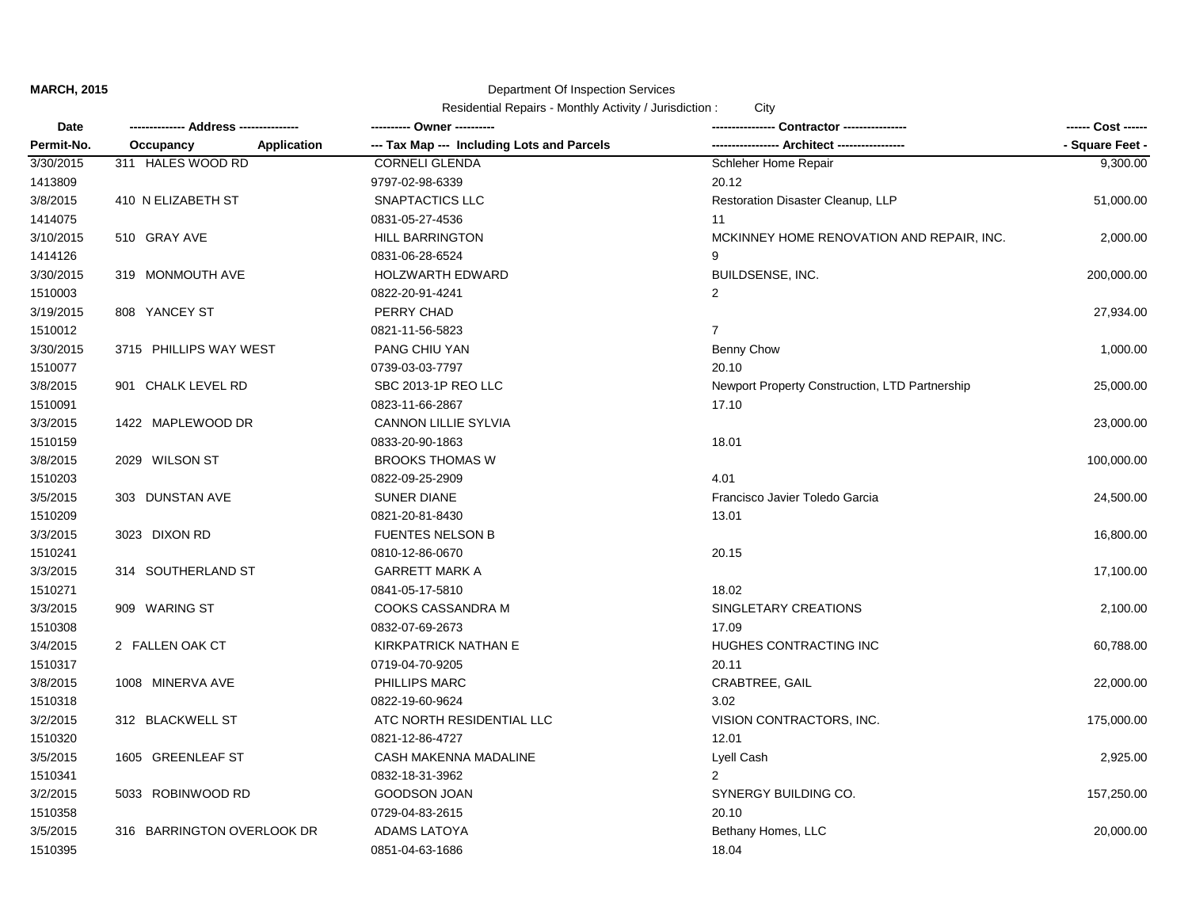# Department Of Inspection Services

| Date       |                                 |                                            | - Contractor ---------------                   | ------ Cost ------ |
|------------|---------------------------------|--------------------------------------------|------------------------------------------------|--------------------|
| Permit-No. | <b>Application</b><br>Occupancy | --- Tax Map --- Including Lots and Parcels | -- Architect -----                             | - Square Feet -    |
| 3/30/2015  | 311 HALES WOOD RD               | <b>CORNELI GLENDA</b>                      | Schleher Home Repair                           | 9,300.00           |
| 1413809    |                                 | 9797-02-98-6339                            | 20.12                                          |                    |
| 3/8/2015   | 410 N ELIZABETH ST              | SNAPTACTICS LLC                            | Restoration Disaster Cleanup, LLP              | 51,000.00          |
| 1414075    |                                 | 0831-05-27-4536                            | 11                                             |                    |
| 3/10/2015  | 510 GRAY AVE                    | <b>HILL BARRINGTON</b>                     | MCKINNEY HOME RENOVATION AND REPAIR, INC.      | 2,000.00           |
| 1414126    |                                 | 0831-06-28-6524                            | 9                                              |                    |
| 3/30/2015  | 319 MONMOUTH AVE                | <b>HOLZWARTH EDWARD</b>                    | BUILDSENSE, INC.                               | 200,000.00         |
| 1510003    |                                 | 0822-20-91-4241                            | 2                                              |                    |
| 3/19/2015  | 808 YANCEY ST                   | PERRY CHAD                                 |                                                | 27,934.00          |
| 1510012    |                                 | 0821-11-56-5823                            | $\overline{7}$                                 |                    |
| 3/30/2015  | 3715 PHILLIPS WAY WEST          | PANG CHIU YAN                              | Benny Chow                                     | 1,000.00           |
| 1510077    |                                 | 0739-03-03-7797                            | 20.10                                          |                    |
| 3/8/2015   | 901 CHALK LEVEL RD              | SBC 2013-1P REO LLC                        | Newport Property Construction, LTD Partnership | 25,000.00          |
| 1510091    |                                 | 0823-11-66-2867                            | 17.10                                          |                    |
| 3/3/2015   | 1422 MAPLEWOOD DR               | <b>CANNON LILLIE SYLVIA</b>                |                                                | 23,000.00          |
| 1510159    |                                 | 0833-20-90-1863                            | 18.01                                          |                    |
| 3/8/2015   | 2029 WILSON ST                  | <b>BROOKS THOMAS W</b>                     |                                                | 100,000.00         |
| 1510203    |                                 | 0822-09-25-2909                            | 4.01                                           |                    |
| 3/5/2015   | 303 DUNSTAN AVE                 | <b>SUNER DIANE</b>                         | Francisco Javier Toledo Garcia                 | 24,500.00          |
| 1510209    |                                 | 0821-20-81-8430                            | 13.01                                          |                    |
| 3/3/2015   | 3023 DIXON RD                   | <b>FUENTES NELSON B</b>                    |                                                | 16,800.00          |
| 1510241    |                                 | 0810-12-86-0670                            | 20.15                                          |                    |
| 3/3/2015   | 314 SOUTHERLAND ST              | <b>GARRETT MARK A</b>                      |                                                | 17,100.00          |
| 1510271    |                                 | 0841-05-17-5810                            | 18.02                                          |                    |
| 3/3/2015   | 909 WARING ST                   | COOKS CASSANDRA M                          | SINGLETARY CREATIONS                           | 2,100.00           |
| 1510308    |                                 | 0832-07-69-2673                            | 17.09                                          |                    |
| 3/4/2015   | 2 FALLEN OAK CT                 | KIRKPATRICK NATHAN E                       | HUGHES CONTRACTING INC                         | 60,788.00          |
| 1510317    |                                 | 0719-04-70-9205                            | 20.11                                          |                    |
| 3/8/2015   | 1008 MINERVA AVE                | PHILLIPS MARC                              | CRABTREE, GAIL                                 | 22,000.00          |
| 1510318    |                                 | 0822-19-60-9624                            | 3.02                                           |                    |
| 3/2/2015   | 312 BLACKWELL ST                | ATC NORTH RESIDENTIAL LLC                  | VISION CONTRACTORS, INC.                       | 175,000.00         |
| 1510320    |                                 | 0821-12-86-4727                            | 12.01                                          |                    |
| 3/5/2015   | 1605 GREENLEAF ST               | CASH MAKENNA MADALINE                      | Lyell Cash                                     | 2,925.00           |
| 1510341    |                                 | 0832-18-31-3962                            | $\mathcal{P}$                                  |                    |
| 3/2/2015   | 5033 ROBINWOOD RD               | <b>GOODSON JOAN</b>                        | SYNERGY BUILDING CO.                           | 157,250.00         |
| 1510358    |                                 | 0729-04-83-2615                            | 20.10                                          |                    |
| 3/5/2015   | 316 BARRINGTON OVERLOOK DR      | <b>ADAMS LATOYA</b>                        | Bethany Homes, LLC                             | 20,000.00          |
| 1510395    |                                 | 0851-04-63-1686                            | 18.04                                          |                    |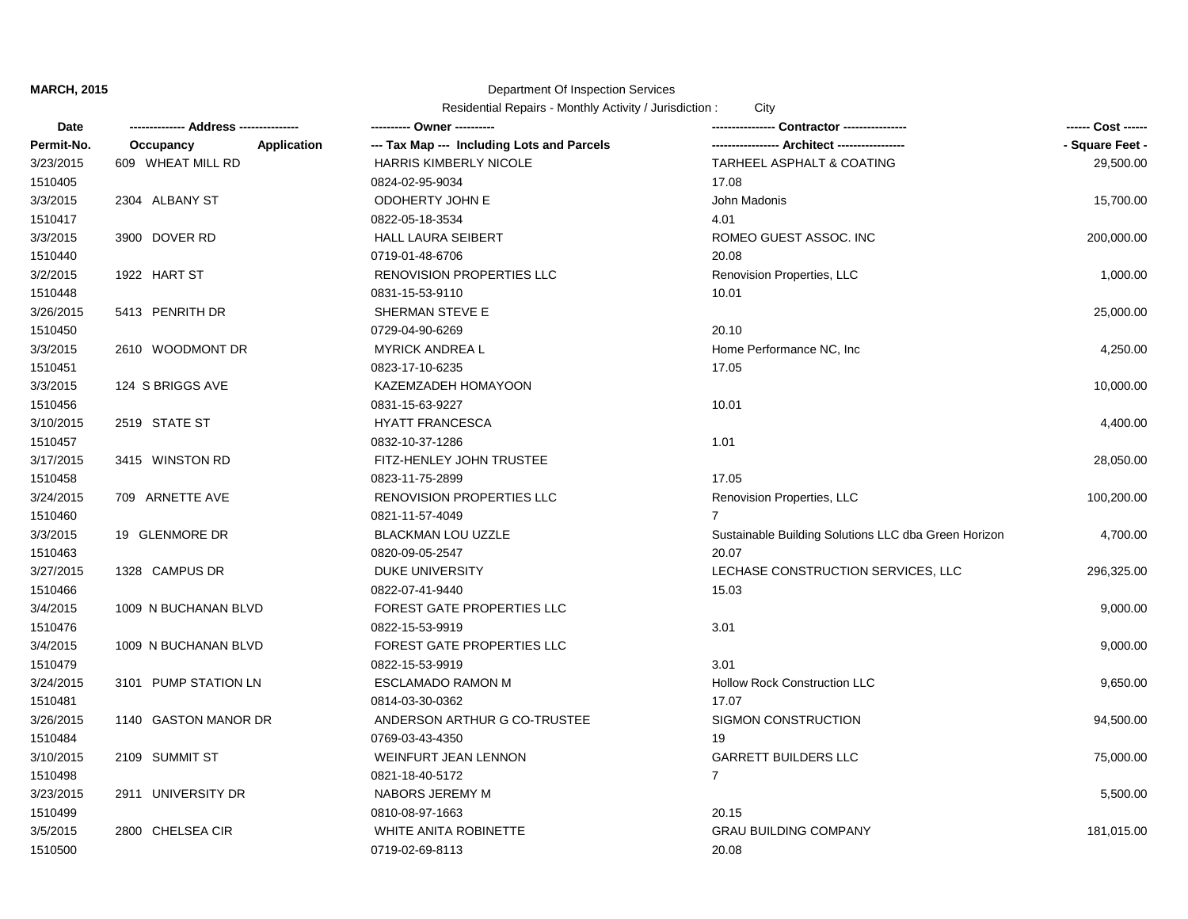### Department Of Inspection Services

| Date       |                          | ---------- Owner ----------                | Contractor ----------------                          | ------ Cost ------ |
|------------|--------------------------|--------------------------------------------|------------------------------------------------------|--------------------|
| Permit-No. | Application<br>Occupancy | --- Tax Map --- Including Lots and Parcels | -- Architect -----------------                       | - Square Feet -    |
| 3/23/2015  | 609 WHEAT MILL RD        | <b>HARRIS KIMBERLY NICOLE</b>              | TARHEEL ASPHALT & COATING                            | 29,500.00          |
| 1510405    |                          | 0824-02-95-9034                            | 17.08                                                |                    |
| 3/3/2015   | 2304 ALBANY ST           | ODOHERTY JOHN E                            | John Madonis                                         | 15,700.00          |
| 1510417    |                          | 0822-05-18-3534                            | 4.01                                                 |                    |
| 3/3/2015   | 3900 DOVER RD            | <b>HALL LAURA SEIBERT</b>                  | ROMEO GUEST ASSOC. INC                               | 200,000.00         |
| 1510440    |                          | 0719-01-48-6706                            | 20.08                                                |                    |
| 3/2/2015   | 1922 HART ST             | <b>RENOVISION PROPERTIES LLC</b>           | Renovision Properties, LLC                           | 1,000.00           |
| 1510448    |                          | 0831-15-53-9110                            | 10.01                                                |                    |
| 3/26/2015  | 5413 PENRITH DR          | SHERMAN STEVE E                            |                                                      | 25,000.00          |
| 1510450    |                          | 0729-04-90-6269                            | 20.10                                                |                    |
| 3/3/2015   | 2610 WOODMONT DR         | <b>MYRICK ANDREA L</b>                     | Home Performance NC, Inc.                            | 4,250.00           |
| 1510451    |                          | 0823-17-10-6235                            | 17.05                                                |                    |
| 3/3/2015   | 124 S BRIGGS AVE         | KAZEMZADEH HOMAYOON                        |                                                      | 10,000.00          |
| 1510456    |                          | 0831-15-63-9227                            | 10.01                                                |                    |
| 3/10/2015  | 2519 STATE ST            | <b>HYATT FRANCESCA</b>                     |                                                      | 4,400.00           |
| 1510457    |                          | 0832-10-37-1286                            | 1.01                                                 |                    |
| 3/17/2015  | 3415 WINSTON RD          | FITZ-HENLEY JOHN TRUSTEE                   |                                                      | 28,050.00          |
| 1510458    |                          | 0823-11-75-2899                            | 17.05                                                |                    |
| 3/24/2015  | 709 ARNETTE AVE          | RENOVISION PROPERTIES LLC                  | Renovision Properties, LLC                           | 100,200.00         |
| 1510460    |                          | 0821-11-57-4049                            | $\overline{7}$                                       |                    |
| 3/3/2015   | 19 GLENMORE DR           | <b>BLACKMAN LOU UZZLE</b>                  | Sustainable Building Solutions LLC dba Green Horizon | 4,700.00           |
| 1510463    |                          | 0820-09-05-2547                            | 20.07                                                |                    |
| 3/27/2015  | 1328 CAMPUS DR           | <b>DUKE UNIVERSITY</b>                     | LECHASE CONSTRUCTION SERVICES, LLC                   | 296,325.00         |
| 1510466    |                          | 0822-07-41-9440                            | 15.03                                                |                    |
| 3/4/2015   | 1009 N BUCHANAN BLVD     | <b>FOREST GATE PROPERTIES LLC</b>          |                                                      | 9,000.00           |
| 1510476    |                          | 0822-15-53-9919                            | 3.01                                                 |                    |
| 3/4/2015   | 1009 N BUCHANAN BLVD     | FOREST GATE PROPERTIES LLC                 |                                                      | 9,000.00           |
| 1510479    |                          | 0822-15-53-9919                            | 3.01                                                 |                    |
| 3/24/2015  | 3101 PUMP STATION LN     | <b>ESCLAMADO RAMON M</b>                   | Hollow Rock Construction LLC                         | 9,650.00           |
| 1510481    |                          | 0814-03-30-0362                            | 17.07                                                |                    |
| 3/26/2015  | 1140 GASTON MANOR DR     | ANDERSON ARTHUR G CO-TRUSTEE               | SIGMON CONSTRUCTION                                  | 94,500.00          |
| 1510484    |                          | 0769-03-43-4350                            | 19                                                   |                    |
| 3/10/2015  | 2109 SUMMIT ST           | WEINFURT JEAN LENNON                       | <b>GARRETT BUILDERS LLC</b>                          | 75,000.00          |
| 1510498    |                          | 0821-18-40-5172                            | $\overline{7}$                                       |                    |
| 3/23/2015  | 2911 UNIVERSITY DR       | NABORS JEREMY M                            |                                                      | 5,500.00           |
| 1510499    |                          | 0810-08-97-1663                            | 20.15                                                |                    |
| 3/5/2015   | 2800 CHELSEA CIR         | WHITE ANITA ROBINETTE                      | <b>GRAU BUILDING COMPANY</b>                         | 181,015.00         |
| 1510500    |                          | 0719-02-69-8113                            | 20.08                                                |                    |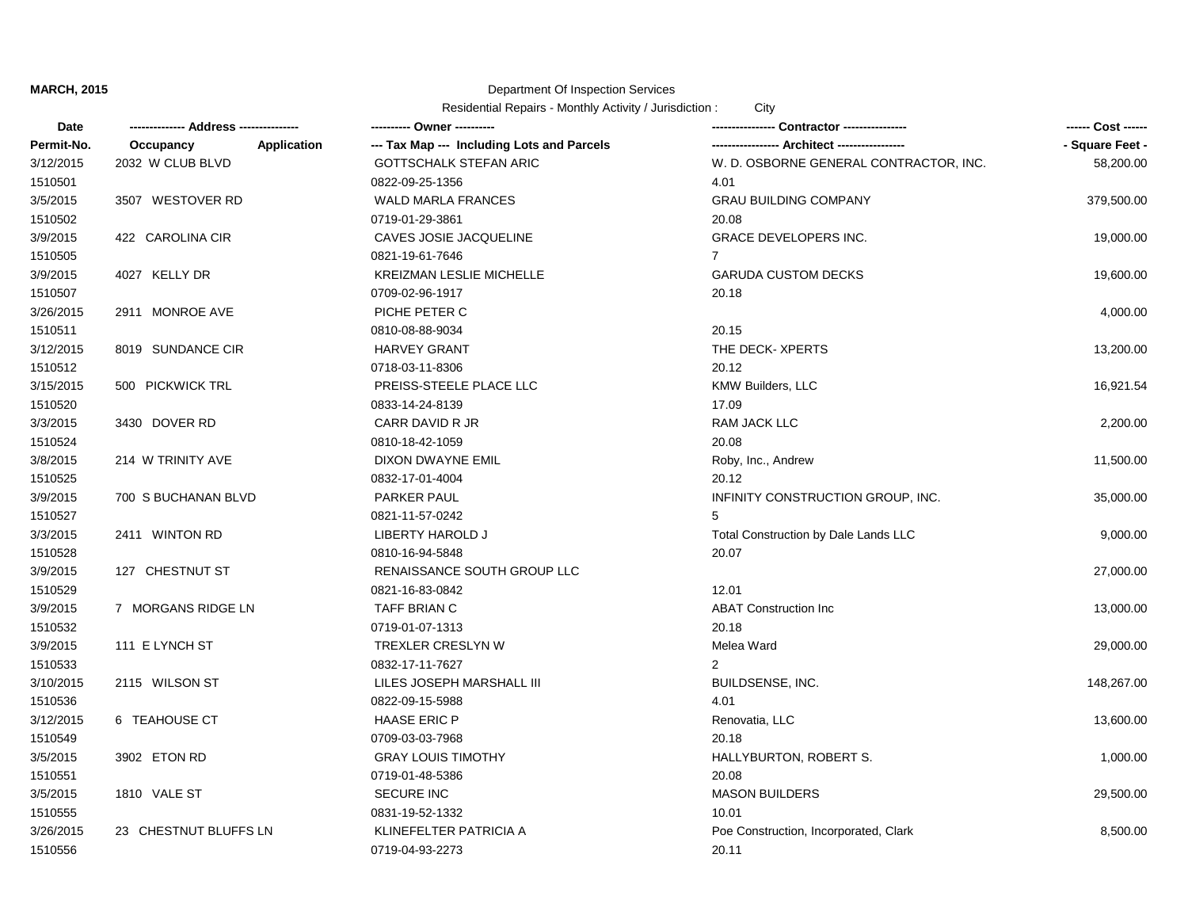### Department Of Inspection Services

| Date       |                                 | ---------- Owner ----------                | Contractor ----------------            | ------ Cost ------ |
|------------|---------------------------------|--------------------------------------------|----------------------------------------|--------------------|
| Permit-No. | <b>Application</b><br>Occupancy | --- Tax Map --- Including Lots and Parcels | -- Architect -----------------         | - Square Feet -    |
| 3/12/2015  | 2032 W CLUB BLVD                | <b>GOTTSCHALK STEFAN ARIC</b>              | W. D. OSBORNE GENERAL CONTRACTOR, INC. | 58,200.00          |
| 1510501    |                                 | 0822-09-25-1356                            | 4.01                                   |                    |
| 3/5/2015   | 3507 WESTOVER RD                | <b>WALD MARLA FRANCES</b>                  | <b>GRAU BUILDING COMPANY</b>           | 379,500.00         |
| 1510502    |                                 | 0719-01-29-3861                            | 20.08                                  |                    |
| 3/9/2015   | 422 CAROLINA CIR                | CAVES JOSIE JACQUELINE                     | GRACE DEVELOPERS INC.                  | 19,000.00          |
| 1510505    |                                 | 0821-19-61-7646                            | 7                                      |                    |
| 3/9/2015   | 4027 KELLY DR                   | <b>KREIZMAN LESLIE MICHELLE</b>            | <b>GARUDA CUSTOM DECKS</b>             | 19,600.00          |
| 1510507    |                                 | 0709-02-96-1917                            | 20.18                                  |                    |
| 3/26/2015  | 2911 MONROE AVE                 | PICHE PETER C                              |                                        | 4,000.00           |
| 1510511    |                                 | 0810-08-88-9034                            | 20.15                                  |                    |
| 3/12/2015  | 8019 SUNDANCE CIR               | <b>HARVEY GRANT</b>                        | THE DECK-XPERTS                        | 13,200.00          |
| 1510512    |                                 | 0718-03-11-8306                            | 20.12                                  |                    |
| 3/15/2015  | 500 PICKWICK TRL                | PREISS-STEELE PLACE LLC                    | <b>KMW Builders, LLC</b>               | 16,921.54          |
| 1510520    |                                 | 0833-14-24-8139                            | 17.09                                  |                    |
| 3/3/2015   | 3430 DOVER RD                   | CARR DAVID R JR                            | RAM JACK LLC                           | 2,200.00           |
| 1510524    |                                 | 0810-18-42-1059                            | 20.08                                  |                    |
| 3/8/2015   | 214 W TRINITY AVE               | DIXON DWAYNE EMIL                          | Roby, Inc., Andrew                     | 11,500.00          |
| 1510525    |                                 | 0832-17-01-4004                            | 20.12                                  |                    |
| 3/9/2015   | 700 S BUCHANAN BLVD             | <b>PARKER PAUL</b>                         | INFINITY CONSTRUCTION GROUP, INC.      | 35,000.00          |
| 1510527    |                                 | 0821-11-57-0242                            | 5                                      |                    |
| 3/3/2015   | 2411 WINTON RD                  | LIBERTY HAROLD J                           | Total Construction by Dale Lands LLC   | 9,000.00           |
| 1510528    |                                 | 0810-16-94-5848                            | 20.07                                  |                    |
| 3/9/2015   | 127 CHESTNUT ST                 | RENAISSANCE SOUTH GROUP LLC                |                                        | 27,000.00          |
| 1510529    |                                 | 0821-16-83-0842                            | 12.01                                  |                    |
| 3/9/2015   | 7 MORGANS RIDGE LN              | TAFF BRIAN C                               | <b>ABAT Construction Inc</b>           | 13,000.00          |
| 1510532    |                                 | 0719-01-07-1313                            | 20.18                                  |                    |
| 3/9/2015   | 111 E LYNCH ST                  | TREXLER CRESLYN W                          | Melea Ward                             | 29,000.00          |
| 1510533    |                                 | 0832-17-11-7627                            | 2                                      |                    |
| 3/10/2015  | 2115 WILSON ST                  | LILES JOSEPH MARSHALL III                  | BUILDSENSE, INC.                       | 148,267.00         |
| 1510536    |                                 | 0822-09-15-5988                            | 4.01                                   |                    |
| 3/12/2015  | 6 TEAHOUSE CT                   | <b>HAASE ERIC P</b>                        | Renovatia, LLC                         | 13,600.00          |
| 1510549    |                                 | 0709-03-03-7968                            | 20.18                                  |                    |
| 3/5/2015   | 3902 ETON RD                    | <b>GRAY LOUIS TIMOTHY</b>                  | HALLYBURTON, ROBERT S.                 | 1,000.00           |
| 1510551    |                                 | 0719-01-48-5386                            | 20.08                                  |                    |
| 3/5/2015   | 1810 VALE ST                    | <b>SECURE INC</b>                          | <b>MASON BUILDERS</b>                  | 29,500.00          |
| 1510555    |                                 | 0831-19-52-1332                            | 10.01                                  |                    |
| 3/26/2015  | 23 CHESTNUT BLUFFS LN           | KLINEFELTER PATRICIA A                     | Poe Construction, Incorporated, Clark  | 8,500.00           |
| 1510556    |                                 | 0719-04-93-2273                            | 20.11                                  |                    |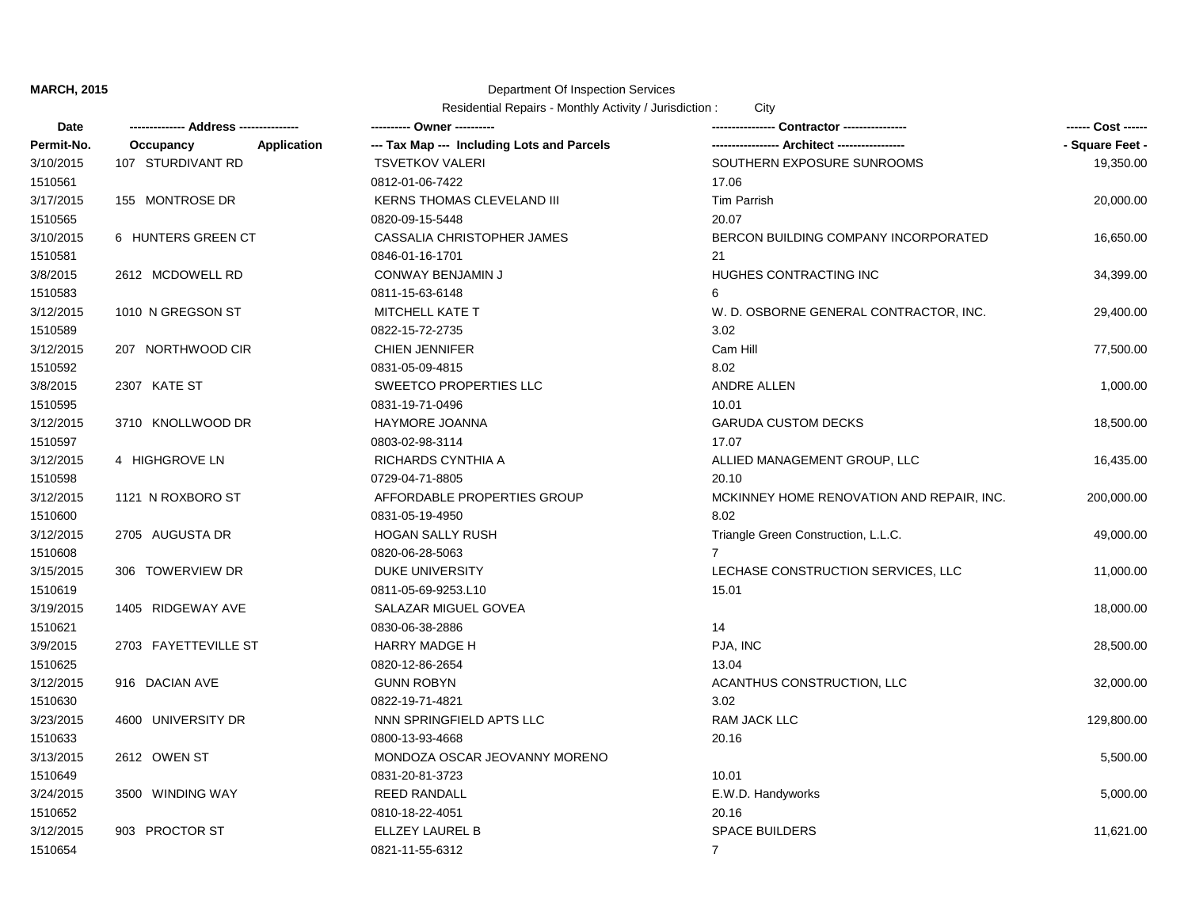#### Department Of Inspection Services

| Date       |                          | ---------- Owner ----------                |                                           | ------ Cost ------ |
|------------|--------------------------|--------------------------------------------|-------------------------------------------|--------------------|
| Permit-No. | Application<br>Occupancy | --- Tax Map --- Including Lots and Parcels |                                           | - Square Feet -    |
| 3/10/2015  | 107 STURDIVANT RD        | <b>TSVETKOV VALERI</b>                     | SOUTHERN EXPOSURE SUNROOMS                | 19,350.00          |
| 1510561    |                          | 0812-01-06-7422                            | 17.06                                     |                    |
| 3/17/2015  | 155 MONTROSE DR          | KERNS THOMAS CLEVELAND III                 | <b>Tim Parrish</b>                        | 20,000.00          |
| 1510565    |                          | 0820-09-15-5448                            | 20.07                                     |                    |
| 3/10/2015  | 6 HUNTERS GREEN CT       | CASSALIA CHRISTOPHER JAMES                 | BERCON BUILDING COMPANY INCORPORATED      | 16,650.00          |
| 1510581    |                          | 0846-01-16-1701                            | 21                                        |                    |
| 3/8/2015   | 2612 MCDOWELL RD         | CONWAY BENJAMIN J                          | HUGHES CONTRACTING INC                    | 34,399.00          |
| 1510583    |                          | 0811-15-63-6148                            | 6                                         |                    |
| 3/12/2015  | 1010 N GREGSON ST        | MITCHELL KATE T                            | W. D. OSBORNE GENERAL CONTRACTOR, INC.    | 29,400.00          |
| 1510589    |                          | 0822-15-72-2735                            | 3.02                                      |                    |
| 3/12/2015  | 207 NORTHWOOD CIR        | <b>CHIEN JENNIFER</b>                      | Cam Hill                                  | 77,500.00          |
| 1510592    |                          | 0831-05-09-4815                            | 8.02                                      |                    |
| 3/8/2015   | 2307 KATE ST             | SWEETCO PROPERTIES LLC                     | ANDRE ALLEN                               | 1,000.00           |
| 1510595    |                          | 0831-19-71-0496                            | 10.01                                     |                    |
| 3/12/2015  | 3710 KNOLLWOOD DR        | HAYMORE JOANNA                             | <b>GARUDA CUSTOM DECKS</b>                | 18,500.00          |
| 1510597    |                          | 0803-02-98-3114                            | 17.07                                     |                    |
| 3/12/2015  | 4 HIGHGROVE LN           | RICHARDS CYNTHIA A                         | ALLIED MANAGEMENT GROUP, LLC              | 16,435.00          |
| 1510598    |                          | 0729-04-71-8805                            | 20.10                                     |                    |
| 3/12/2015  | 1121 N ROXBORO ST        | AFFORDABLE PROPERTIES GROUP                | MCKINNEY HOME RENOVATION AND REPAIR, INC. | 200,000.00         |
| 1510600    |                          | 0831-05-19-4950                            | 8.02                                      |                    |
| 3/12/2015  | 2705 AUGUSTA DR          | HOGAN SALLY RUSH                           | Triangle Green Construction, L.L.C.       | 49,000.00          |
| 1510608    |                          | 0820-06-28-5063                            | $7^{\circ}$                               |                    |
| 3/15/2015  | 306 TOWERVIEW DR         | DUKE UNIVERSITY                            | LECHASE CONSTRUCTION SERVICES, LLC        | 11,000.00          |
| 1510619    |                          | 0811-05-69-9253.L10                        | 15.01                                     |                    |
| 3/19/2015  | 1405 RIDGEWAY AVE        | SALAZAR MIGUEL GOVEA                       |                                           | 18,000.00          |
| 1510621    |                          | 0830-06-38-2886                            | 14                                        |                    |
| 3/9/2015   | 2703 FAYETTEVILLE ST     | <b>HARRY MADGE H</b>                       | PJA, INC                                  | 28,500.00          |
| 1510625    |                          | 0820-12-86-2654                            | 13.04                                     |                    |
| 3/12/2015  | 916 DACIAN AVE           | <b>GUNN ROBYN</b>                          | ACANTHUS CONSTRUCTION, LLC                | 32,000.00          |
| 1510630    |                          | 0822-19-71-4821                            | 3.02                                      |                    |
| 3/23/2015  | 4600 UNIVERSITY DR       | NNN SPRINGFIELD APTS LLC                   | RAM JACK LLC                              | 129,800.00         |
| 1510633    |                          | 0800-13-93-4668                            | 20.16                                     |                    |
| 3/13/2015  | 2612 OWEN ST             | MONDOZA OSCAR JEOVANNY MORENO              |                                           | 5,500.00           |
| 1510649    |                          | 0831-20-81-3723                            | 10.01                                     |                    |
| 3/24/2015  | 3500 WINDING WAY         | <b>REED RANDALL</b>                        | E.W.D. Handyworks                         | 5,000.00           |
| 1510652    |                          | 0810-18-22-4051                            | 20.16                                     |                    |
| 3/12/2015  | 903 PROCTOR ST           | ELLZEY LAUREL B                            | <b>SPACE BUILDERS</b>                     | 11,621.00          |
| 1510654    |                          | 0821-11-55-6312                            | $\overline{7}$                            |                    |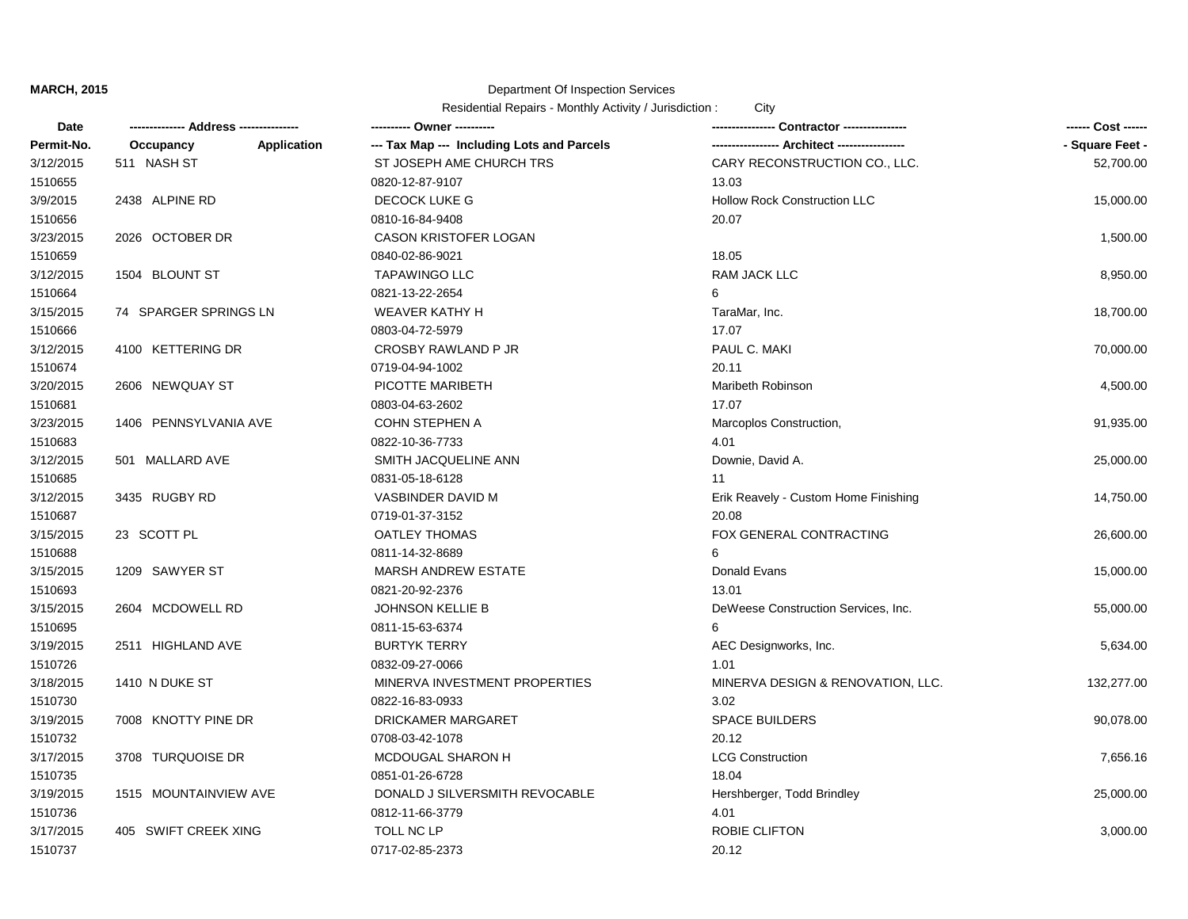#### Department Of Inspection Services

| Date       |                                 | ---------- Owner ----------                |                                      | ------ Cost ------ |
|------------|---------------------------------|--------------------------------------------|--------------------------------------|--------------------|
| Permit-No. | <b>Application</b><br>Occupancy | --- Tax Map --- Including Lots and Parcels |                                      | - Square Feet -    |
| 3/12/2015  | 511 NASH ST                     | ST JOSEPH AME CHURCH TRS                   | CARY RECONSTRUCTION CO., LLC.        | 52,700.00          |
| 1510655    |                                 | 0820-12-87-9107                            | 13.03                                |                    |
| 3/9/2015   | 2438 ALPINE RD                  | DECOCK LUKE G                              | <b>Hollow Rock Construction LLC</b>  | 15,000.00          |
| 1510656    |                                 | 0810-16-84-9408                            | 20.07                                |                    |
| 3/23/2015  | 2026 OCTOBER DR                 | CASON KRISTOFER LOGAN                      |                                      | 1,500.00           |
| 1510659    |                                 | 0840-02-86-9021                            | 18.05                                |                    |
| 3/12/2015  | 1504 BLOUNT ST                  | <b>TAPAWINGO LLC</b>                       | <b>RAM JACK LLC</b>                  | 8,950.00           |
| 1510664    |                                 | 0821-13-22-2654                            | 6                                    |                    |
| 3/15/2015  | 74 SPARGER SPRINGS LN           | <b>WEAVER KATHY H</b>                      | TaraMar, Inc.                        | 18,700.00          |
| 1510666    |                                 | 0803-04-72-5979                            | 17.07                                |                    |
| 3/12/2015  | 4100 KETTERING DR               | CROSBY RAWLAND P JR                        | PAUL C. MAKI                         | 70,000.00          |
| 1510674    |                                 | 0719-04-94-1002                            | 20.11                                |                    |
| 3/20/2015  | 2606 NEWQUAY ST                 | PICOTTE MARIBETH                           | Maribeth Robinson                    | 4,500.00           |
| 1510681    |                                 | 0803-04-63-2602                            | 17.07                                |                    |
| 3/23/2015  | 1406 PENNSYLVANIA AVE           | <b>COHN STEPHEN A</b>                      | Marcoplos Construction,              | 91,935.00          |
| 1510683    |                                 | 0822-10-36-7733                            | 4.01                                 |                    |
| 3/12/2015  | 501 MALLARD AVE                 | SMITH JACQUELINE ANN                       | Downie, David A.                     | 25,000.00          |
| 1510685    |                                 | 0831-05-18-6128                            | 11                                   |                    |
| 3/12/2015  | 3435 RUGBY RD                   | VASBINDER DAVID M                          | Erik Reavely - Custom Home Finishing | 14,750.00          |
| 1510687    |                                 | 0719-01-37-3152                            | 20.08                                |                    |
| 3/15/2015  | 23 SCOTT PL                     | <b>OATLEY THOMAS</b>                       | FOX GENERAL CONTRACTING              | 26,600.00          |
| 1510688    |                                 | 0811-14-32-8689                            | 6                                    |                    |
| 3/15/2015  | 1209 SAWYER ST                  | <b>MARSH ANDREW ESTATE</b>                 | Donald Evans                         | 15,000.00          |
| 1510693    |                                 | 0821-20-92-2376                            | 13.01                                |                    |
| 3/15/2015  | 2604 MCDOWELL RD                | <b>JOHNSON KELLIE B</b>                    | DeWeese Construction Services, Inc.  | 55,000.00          |
| 1510695    |                                 | 0811-15-63-6374                            | 6                                    |                    |
| 3/19/2015  | 2511 HIGHLAND AVE               | <b>BURTYK TERRY</b>                        | AEC Designworks, Inc.                | 5,634.00           |
| 1510726    |                                 | 0832-09-27-0066                            | 1.01                                 |                    |
| 3/18/2015  | 1410 N DUKE ST                  | MINERVA INVESTMENT PROPERTIES              | MINERVA DESIGN & RENOVATION, LLC.    | 132,277.00         |
| 1510730    |                                 | 0822-16-83-0933                            | 3.02                                 |                    |
| 3/19/2015  | 7008 KNOTTY PINE DR             | DRICKAMER MARGARET                         | <b>SPACE BUILDERS</b>                | 90,078.00          |
| 1510732    |                                 | 0708-03-42-1078                            | 20.12                                |                    |
| 3/17/2015  | 3708 TURQUOISE DR               | MCDOUGAL SHARON H                          | <b>LCG Construction</b>              | 7,656.16           |
| 1510735    |                                 | 0851-01-26-6728                            | 18.04                                |                    |
| 3/19/2015  | 1515 MOUNTAINVIEW AVE           | DONALD J SILVERSMITH REVOCABLE             | Hershberger, Todd Brindley           | 25,000.00          |
| 1510736    |                                 | 0812-11-66-3779                            | 4.01                                 |                    |
| 3/17/2015  | 405 SWIFT CREEK XING            | TOLL NC LP                                 | ROBIE CLIFTON                        | 3,000.00           |
| 1510737    |                                 | 0717-02-85-2373                            | 20.12                                |                    |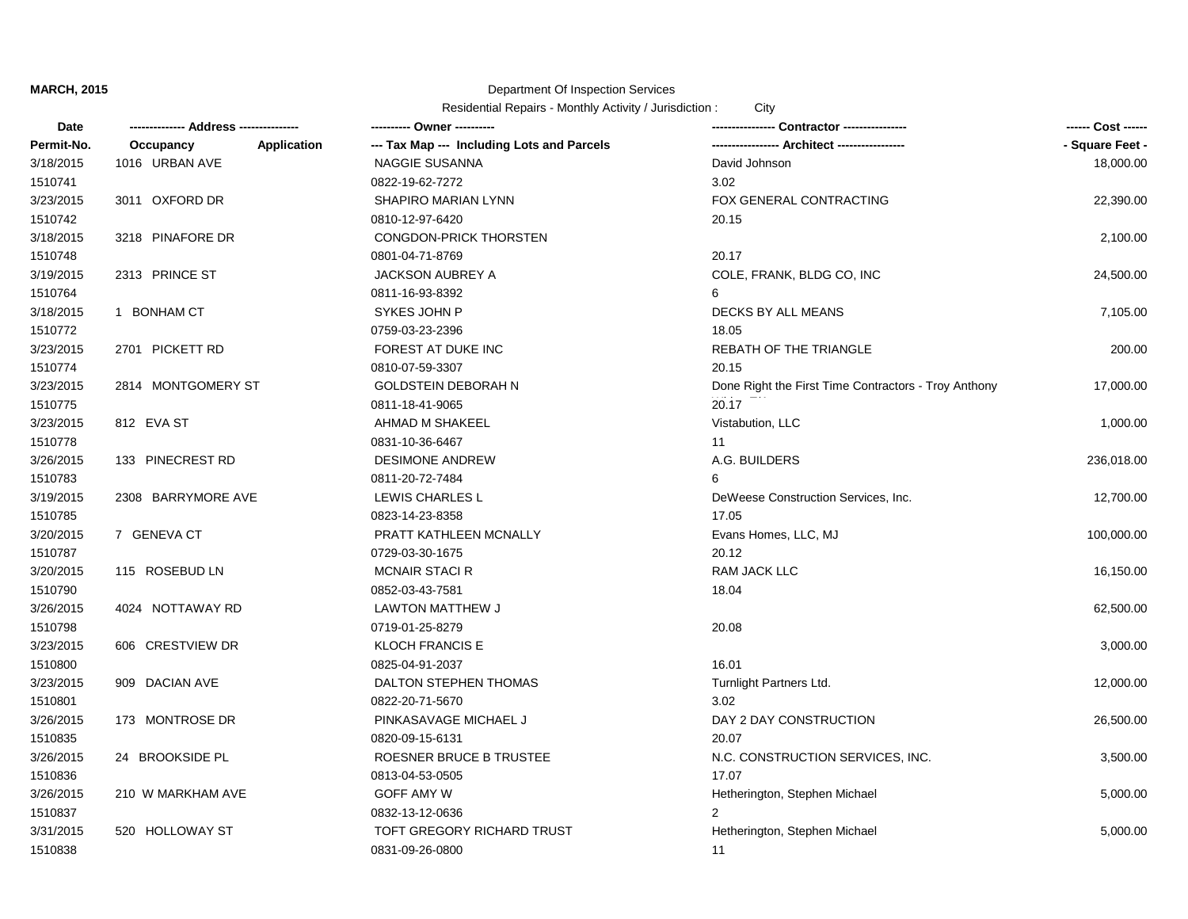### Department Of Inspection Services

| Date       |                          | ---------- Owner ----------                |                                                      | ------ Cost ------ |
|------------|--------------------------|--------------------------------------------|------------------------------------------------------|--------------------|
| Permit-No. | Application<br>Occupancy | --- Tax Map --- Including Lots and Parcels | ---------------- Architect ----------------          | - Square Feet -    |
| 3/18/2015  | 1016 URBAN AVE           | NAGGIE SUSANNA                             | David Johnson                                        | 18,000.00          |
| 1510741    |                          | 0822-19-62-7272                            | 3.02                                                 |                    |
| 3/23/2015  | 3011 OXFORD DR           | SHAPIRO MARIAN LYNN                        | FOX GENERAL CONTRACTING                              | 22,390.00          |
| 1510742    |                          | 0810-12-97-6420                            | 20.15                                                |                    |
| 3/18/2015  | 3218 PINAFORE DR         | CONGDON-PRICK THORSTEN                     |                                                      | 2,100.00           |
| 1510748    |                          | 0801-04-71-8769                            | 20.17                                                |                    |
| 3/19/2015  | 2313 PRINCE ST           | JACKSON AUBREY A                           | COLE, FRANK, BLDG CO, INC                            | 24,500.00          |
| 1510764    |                          | 0811-16-93-8392                            | 6                                                    |                    |
| 3/18/2015  | 1 BONHAM CT              | SYKES JOHN P                               | DECKS BY ALL MEANS                                   | 7,105.00           |
| 1510772    |                          | 0759-03-23-2396                            | 18.05                                                |                    |
| 3/23/2015  | 2701 PICKETT RD          | FOREST AT DUKE INC                         | REBATH OF THE TRIANGLE                               | 200.00             |
| 1510774    |                          | 0810-07-59-3307                            | 20.15                                                |                    |
| 3/23/2015  | 2814 MONTGOMERY ST       | <b>GOLDSTEIN DEBORAH N</b>                 | Done Right the First Time Contractors - Troy Anthony | 17,000.00          |
| 1510775    |                          | 0811-18-41-9065                            | 20.17                                                |                    |
| 3/23/2015  | 812 EVA ST               | AHMAD M SHAKEEL                            | Vistabution, LLC                                     | 1,000.00           |
| 1510778    |                          | 0831-10-36-6467                            | 11                                                   |                    |
| 3/26/2015  | 133 PINECREST RD         | <b>DESIMONE ANDREW</b>                     | A.G. BUILDERS                                        | 236,018.00         |
| 1510783    |                          | 0811-20-72-7484                            | 6                                                    |                    |
| 3/19/2015  | 2308 BARRYMORE AVE       | LEWIS CHARLES L                            | DeWeese Construction Services, Inc.                  | 12,700.00          |
| 1510785    |                          | 0823-14-23-8358                            | 17.05                                                |                    |
| 3/20/2015  | 7 GENEVA CT              | PRATT KATHLEEN MCNALLY                     | Evans Homes, LLC, MJ                                 | 100,000.00         |
| 1510787    |                          | 0729-03-30-1675                            | 20.12                                                |                    |
| 3/20/2015  | 115 ROSEBUD LN           | <b>MCNAIR STACI R</b>                      | RAM JACK LLC                                         | 16,150.00          |
| 1510790    |                          | 0852-03-43-7581                            | 18.04                                                |                    |
| 3/26/2015  | 4024 NOTTAWAY RD         | LAWTON MATTHEW J                           |                                                      | 62,500.00          |
| 1510798    |                          | 0719-01-25-8279                            | 20.08                                                |                    |
| 3/23/2015  | 606 CRESTVIEW DR         | <b>KLOCH FRANCIS E</b>                     |                                                      | 3,000.00           |
| 1510800    |                          | 0825-04-91-2037                            | 16.01                                                |                    |
| 3/23/2015  | 909 DACIAN AVE           | DALTON STEPHEN THOMAS                      | Turnlight Partners Ltd.                              | 12,000.00          |
| 1510801    |                          | 0822-20-71-5670                            | 3.02                                                 |                    |
| 3/26/2015  | 173 MONTROSE DR          | PINKASAVAGE MICHAEL J                      | DAY 2 DAY CONSTRUCTION                               | 26,500.00          |
| 1510835    |                          | 0820-09-15-6131                            | 20.07                                                |                    |
| 3/26/2015  | 24 BROOKSIDE PL          | ROESNER BRUCE B TRUSTEE                    | N.C. CONSTRUCTION SERVICES, INC.                     | 3,500.00           |
| 1510836    |                          | 0813-04-53-0505                            | 17.07                                                |                    |
| 3/26/2015  | 210 W MARKHAM AVE        | <b>GOFF AMY W</b>                          | Hetherington, Stephen Michael                        | 5,000.00           |
| 1510837    |                          | 0832-13-12-0636                            | $\overline{2}$                                       |                    |
| 3/31/2015  | 520 HOLLOWAY ST          | TOFT GREGORY RICHARD TRUST                 | Hetherington, Stephen Michael                        | 5,000.00           |
| 1510838    |                          | 0831-09-26-0800                            | 11                                                   |                    |